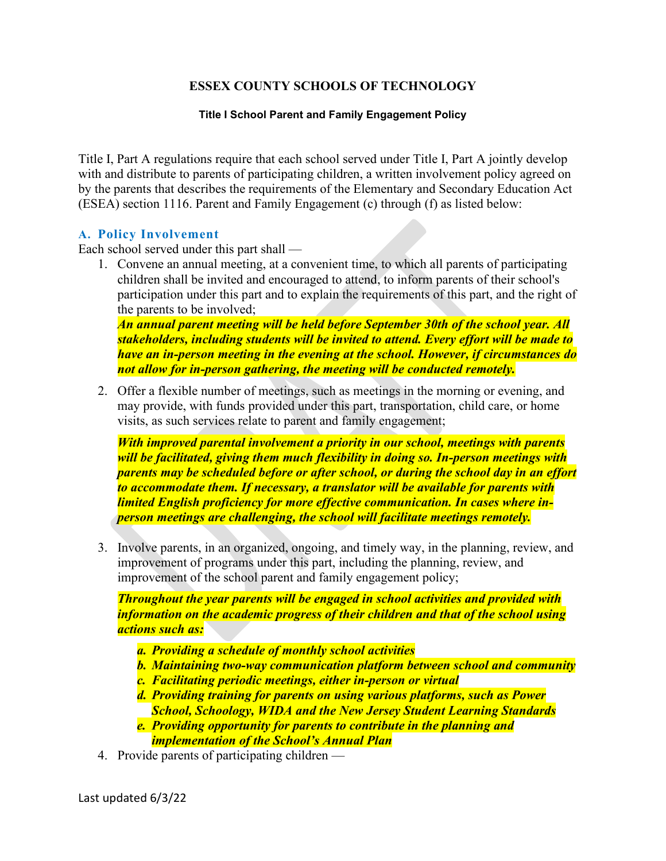# **ESSEX COUNTY SCHOOLS OF TECHNOLOGY**

#### **Title I School Parent and Family Engagement Policy**

Title I, Part A regulations require that each school served under Title I, Part A jointly develop with and distribute to parents of participating children, a written involvement policy agreed on by the parents that describes the requirements of the Elementary and Secondary Education Act (ESEA) section 1116. Parent and Family Engagement (c) through (f) as listed below:

### **A. Policy Involvement**

Each school served under this part shall —

1. Convene an annual meeting, at a convenient time, to which all parents of participating children shall be invited and encouraged to attend, to inform parents of their school's participation under this part and to explain the requirements of this part, and the right of the parents to be involved;

*An annual parent meeting will be held before September 30th of the school year. All stakeholders, including students will be invited to attend. Every effort will be made to have an in-person meeting in the evening at the school. However, if circumstances do not allow for in-person gathering, the meeting will be conducted remotely.*

2. Offer a flexible number of meetings, such as meetings in the morning or evening, and may provide, with funds provided under this part, transportation, child care, or home visits, as such services relate to parent and family engagement;

*With improved parental involvement a priority in our school, meetings with parents will be facilitated, giving them much flexibility in doing so. In-person meetings with parents may be scheduled before or after school, or during the school day in an effort to accommodate them. If necessary, a translator will be available for parents with limited English proficiency for more effective communication. In cases where inperson meetings are challenging, the school will facilitate meetings remotely.*

3. Involve parents, in an organized, ongoing, and timely way, in the planning, review, and improvement of programs under this part, including the planning, review, and improvement of the school parent and family engagement policy;

*Throughout the year parents will be engaged in school activities and provided with information on the academic progress of their children and that of the school using actions such as:* 

- *a. Providing a schedule of monthly school activities*
- *b. Maintaining two-way communication platform between school and community*
- *c. Facilitating periodic meetings, either in-person or virtual*
- *d. Providing training for parents on using various platforms, such as Power School, Schoology, WIDA and the New Jersey Student Learning Standards*
- *e. Providing opportunity for parents to contribute in the planning and implementation of the School's Annual Plan*
- 4. Provide parents of participating children —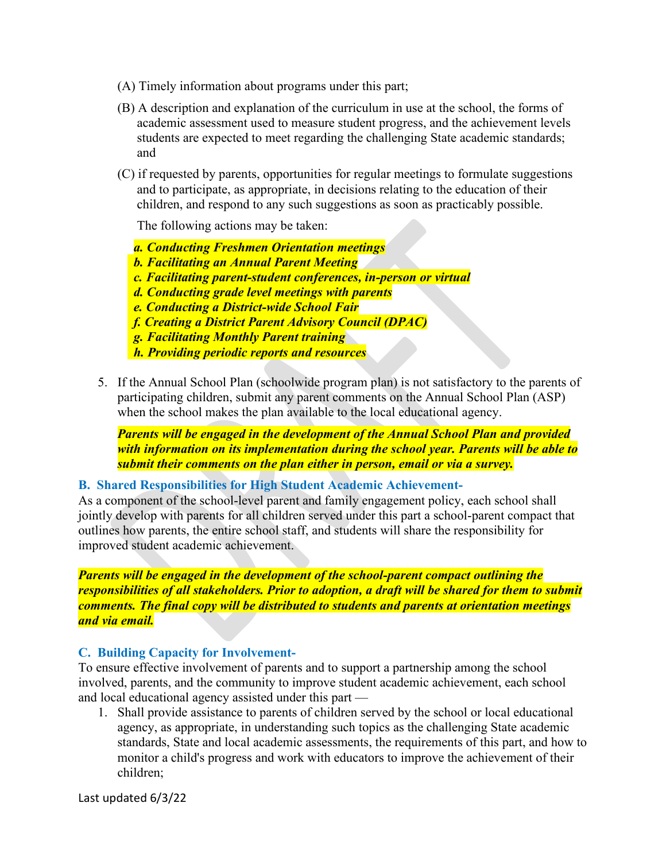- (A) Timely information about programs under this part;
- (B) A description and explanation of the curriculum in use at the school, the forms of academic assessment used to measure student progress, and the achievement levels students are expected to meet regarding the challenging State academic standards; and
- (C) if requested by parents, opportunities for regular meetings to formulate suggestions and to participate, as appropriate, in decisions relating to the education of their children, and respond to any such suggestions as soon as practicably possible.

The following actions may be taken:

 *a. Conducting Freshmen Orientation meetings*

- *b. Facilitating an Annual Parent Meeting*
- *c. Facilitating parent-student conferences, in-person or virtual*
- *d. Conducting grade level meetings with parents*
- *e. Conducting a District-wide School Fair*
- *f. Creating a District Parent Advisory Council (DPAC)*
- *g. Facilitating Monthly Parent training*
- *h. Providing periodic reports and resources*
- 5. If the Annual School Plan (schoolwide program plan) is not satisfactory to the parents of participating children, submit any parent comments on the Annual School Plan (ASP) when the school makes the plan available to the local educational agency.

*Parents will be engaged in the development of the Annual School Plan and provided with information on its implementation during the school year. Parents will be able to submit their comments on the plan either in person, email or via a survey.*

## **B. Shared Responsibilities for High Student Academic Achievement-**

As a component of the school-level parent and family engagement policy, each school shall jointly develop with parents for all children served under this part a school-parent compact that outlines how parents, the entire school staff, and students will share the responsibility for improved student academic achievement.

*Parents will be engaged in the development of the school-parent compact outlining the responsibilities of all stakeholders. Prior to adoption, a draft will be shared for them to submit comments. The final copy will be distributed to students and parents at orientation meetings and via email.* 

### **C. Building Capacity for Involvement-**

To ensure effective involvement of parents and to support a partnership among the school involved, parents, and the community to improve student academic achievement, each school and local educational agency assisted under this part —

1. Shall provide assistance to parents of children served by the school or local educational agency, as appropriate, in understanding such topics as the challenging State academic standards, State and local academic assessments, the requirements of this part, and how to monitor a child's progress and work with educators to improve the achievement of their children;

Last updated 6/3/22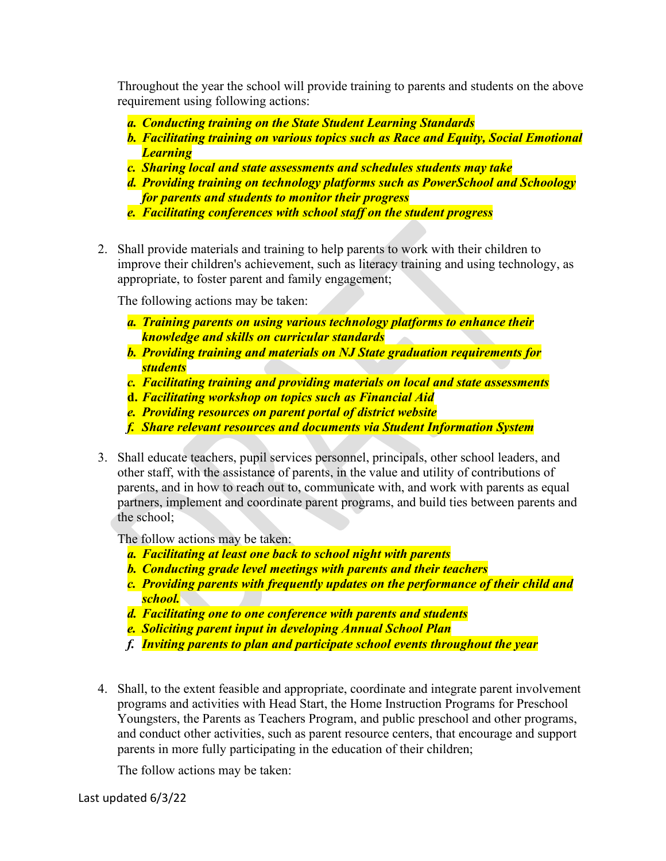Throughout the year the school will provide training to parents and students on the above requirement using following actions:

- *a. Conducting training on the State Student Learning Standards*
- *b. Facilitating training on various topics such as Race and Equity, Social Emotional Learning*
- *c. Sharing local and state assessments and schedules students may take*
- *d. Providing training on technology platforms such as PowerSchool and Schoology for parents and students to monitor their progress*
- *e. Facilitating conferences with school staff on the student progress*
- 2. Shall provide materials and training to help parents to work with their children to improve their children's achievement, such as literacy training and using technology, as appropriate, to foster parent and family engagement;

The following actions may be taken:

- *a. Training parents on using various technology platforms to enhance their knowledge and skills on curricular standards*
- *b. Providing training and materials on NJ State graduation requirements for students*
- *c. Facilitating training and providing materials on local and state assessments*
- **d.** *Facilitating workshop on topics such as Financial Aid*
- *e. Providing resources on parent portal of district website*
- *f. Share relevant resources and documents via Student Information System*
- 3. Shall educate teachers, pupil services personnel, principals, other school leaders, and other staff, with the assistance of parents, in the value and utility of contributions of parents, and in how to reach out to, communicate with, and work with parents as equal partners, implement and coordinate parent programs, and build ties between parents and the school;

The follow actions may be taken:

- *a. Facilitating at least one back to school night with parents*
- *b. Conducting grade level meetings with parents and their teachers*
- *c. Providing parents with frequently updates on the performance of their child and school.*
- *d. Facilitating one to one conference with parents and students*
- *e. Soliciting parent input in developing Annual School Plan*
- *f. Inviting parents to plan and participate school events throughout the year*
- 4. Shall, to the extent feasible and appropriate, coordinate and integrate parent involvement programs and activities with Head Start, the Home Instruction Programs for Preschool Youngsters, the Parents as Teachers Program, and public preschool and other programs, and conduct other activities, such as parent resource centers, that encourage and support parents in more fully participating in the education of their children;

The follow actions may be taken: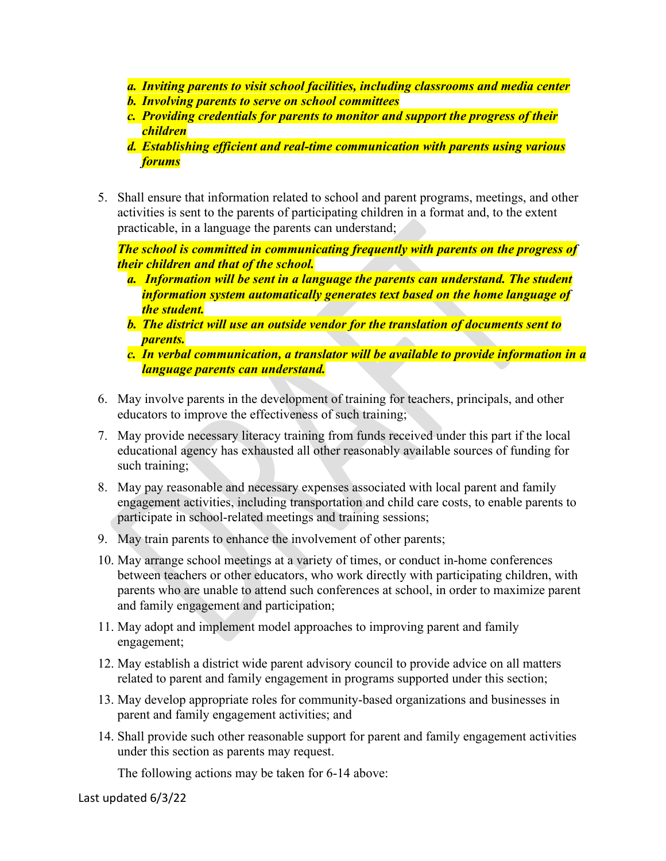- *a. Inviting parents to visit school facilities, including classrooms and media center*
- *b. Involving parents to serve on school committees*
- *c. Providing credentials for parents to monitor and support the progress of their children*
- *d. Establishing efficient and real-time communication with parents using various forums*
- 5. Shall ensure that information related to school and parent programs, meetings, and other activities is sent to the parents of participating children in a format and, to the extent practicable, in a language the parents can understand;

*The school is committed in communicating frequently with parents on the progress of their children and that of the school.* 

- *a. Information will be sent in a language the parents can understand. The student information system automatically generates text based on the home language of the student.*
- *b. The district will use an outside vendor for the translation of documents sent to parents.*
- *c. In verbal communication, a translator will be available to provide information in a language parents can understand.*
- 6. May involve parents in the development of training for teachers, principals, and other educators to improve the effectiveness of such training;
- 7. May provide necessary literacy training from funds received under this part if the local educational agency has exhausted all other reasonably available sources of funding for such training;
- 8. May pay reasonable and necessary expenses associated with local parent and family engagement activities, including transportation and child care costs, to enable parents to participate in school-related meetings and training sessions;
- 9. May train parents to enhance the involvement of other parents;
- 10. May arrange school meetings at a variety of times, or conduct in-home conferences between teachers or other educators, who work directly with participating children, with parents who are unable to attend such conferences at school, in order to maximize parent and family engagement and participation;
- 11. May adopt and implement model approaches to improving parent and family engagement;
- 12. May establish a district wide parent advisory council to provide advice on all matters related to parent and family engagement in programs supported under this section;
- 13. May develop appropriate roles for community-based organizations and businesses in parent and family engagement activities; and
- 14. Shall provide such other reasonable support for parent and family engagement activities under this section as parents may request.

The following actions may be taken for 6-14 above: